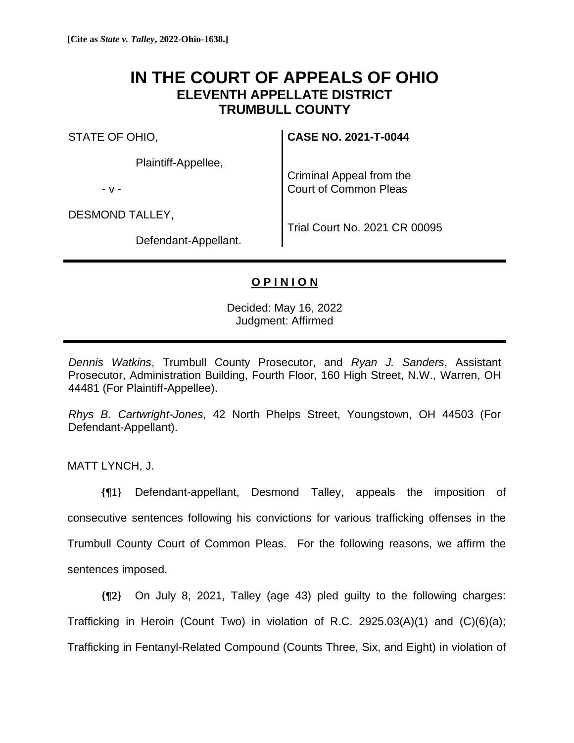## **IN THE COURT OF APPEALS OF OHIO ELEVENTH APPELLATE DISTRICT TRUMBULL COUNTY**

STATE OF OHIO,

Plaintiff-Appellee,

- v -

DESMOND TALLEY,

**CASE NO. 2021-T-0044**

Criminal Appeal from the Court of Common Pleas

Defendant-Appellant.

Trial Court No. 2021 CR 00095

## **O P I N I O N**

Decided: May 16, 2022 Judgment: Affirmed

*Dennis Watkins*, Trumbull County Prosecutor, and *Ryan J. Sanders*, Assistant Prosecutor, Administration Building, Fourth Floor, 160 High Street, N.W., Warren, OH 44481 (For Plaintiff-Appellee).

*Rhys B. Cartwright-Jones*, 42 North Phelps Street, Youngstown, OH 44503 (For Defendant-Appellant).

MATT LYNCH, J.

**{¶1}** Defendant-appellant, Desmond Talley, appeals the imposition of consecutive sentences following his convictions for various trafficking offenses in the Trumbull County Court of Common Pleas. For the following reasons, we affirm the sentences imposed.

**{¶2}** On July 8, 2021, Talley (age 43) pled guilty to the following charges: Trafficking in Heroin (Count Two) in violation of R.C. 2925.03(A)(1) and (C)(6)(a); Trafficking in Fentanyl-Related Compound (Counts Three, Six, and Eight) in violation of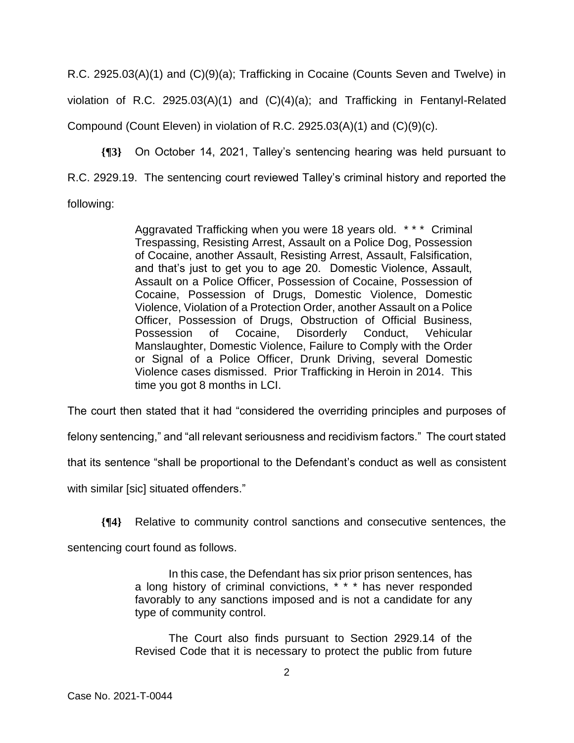R.C. 2925.03(A)(1) and (C)(9)(a); Trafficking in Cocaine (Counts Seven and Twelve) in violation of R.C. 2925.03(A)(1) and (C)(4)(a); and Trafficking in Fentanyl-Related Compound (Count Eleven) in violation of R.C. 2925.03(A)(1) and  $(C)(9)(c)$ .

**{¶3}** On October 14, 2021, Talley's sentencing hearing was held pursuant to R.C. 2929.19. The sentencing court reviewed Talley's criminal history and reported the following:

> Aggravated Trafficking when you were 18 years old. \* \* \* Criminal Trespassing, Resisting Arrest, Assault on a Police Dog, Possession of Cocaine, another Assault, Resisting Arrest, Assault, Falsification, and that's just to get you to age 20. Domestic Violence, Assault, Assault on a Police Officer, Possession of Cocaine, Possession of Cocaine, Possession of Drugs, Domestic Violence, Domestic Violence, Violation of a Protection Order, another Assault on a Police Officer, Possession of Drugs, Obstruction of Official Business, Possession of Cocaine, Disorderly Conduct, Vehicular Manslaughter, Domestic Violence, Failure to Comply with the Order or Signal of a Police Officer, Drunk Driving, several Domestic Violence cases dismissed. Prior Trafficking in Heroin in 2014. This time you got 8 months in LCI.

The court then stated that it had "considered the overriding principles and purposes of

felony sentencing," and "all relevant seriousness and recidivism factors." The court stated

that its sentence "shall be proportional to the Defendant's conduct as well as consistent

with similar [sic] situated offenders."

**{¶4}** Relative to community control sanctions and consecutive sentences, the

sentencing court found as follows.

In this case, the Defendant has six prior prison sentences, has a long history of criminal convictions, \* \* \* has never responded favorably to any sanctions imposed and is not a candidate for any type of community control.

The Court also finds pursuant to Section 2929.14 of the Revised Code that it is necessary to protect the public from future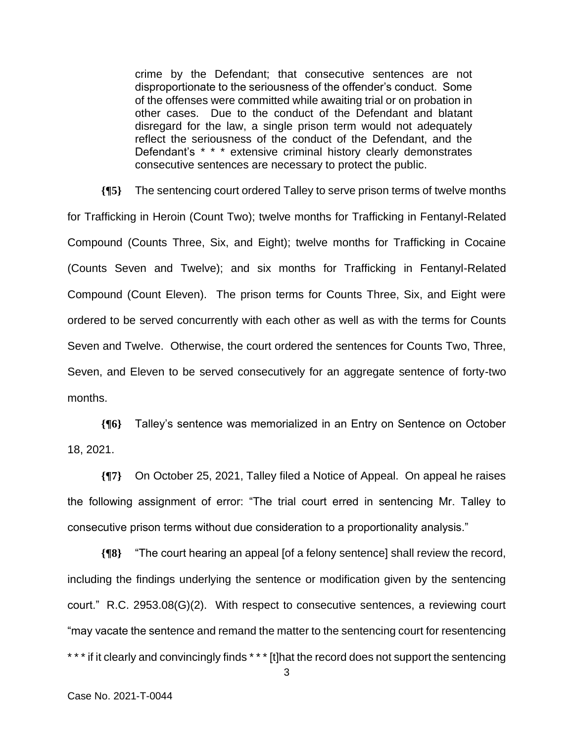crime by the Defendant; that consecutive sentences are not disproportionate to the seriousness of the offender's conduct. Some of the offenses were committed while awaiting trial or on probation in other cases. Due to the conduct of the Defendant and blatant disregard for the law, a single prison term would not adequately reflect the seriousness of the conduct of the Defendant, and the Defendant's \* \* \* extensive criminal history clearly demonstrates consecutive sentences are necessary to protect the public.

**{¶5}** The sentencing court ordered Talley to serve prison terms of twelve months for Trafficking in Heroin (Count Two); twelve months for Trafficking in Fentanyl-Related Compound (Counts Three, Six, and Eight); twelve months for Trafficking in Cocaine (Counts Seven and Twelve); and six months for Trafficking in Fentanyl-Related Compound (Count Eleven). The prison terms for Counts Three, Six, and Eight were ordered to be served concurrently with each other as well as with the terms for Counts Seven and Twelve. Otherwise, the court ordered the sentences for Counts Two, Three, Seven, and Eleven to be served consecutively for an aggregate sentence of forty-two months.

**{¶6}** Talley's sentence was memorialized in an Entry on Sentence on October 18, 2021.

**{¶7}** On October 25, 2021, Talley filed a Notice of Appeal. On appeal he raises the following assignment of error: "The trial court erred in sentencing Mr. Talley to consecutive prison terms without due consideration to a proportionality analysis."

**{¶8}** "The court hearing an appeal [of a felony sentence] shall review the record, including the findings underlying the sentence or modification given by the sentencing court." R.C. 2953.08(G)(2). With respect to consecutive sentences, a reviewing court "may vacate the sentence and remand the matter to the sentencing court for resentencing \*\*\* if it clearly and convincingly finds \*\*\* [t]hat the record does not support the sentencing

3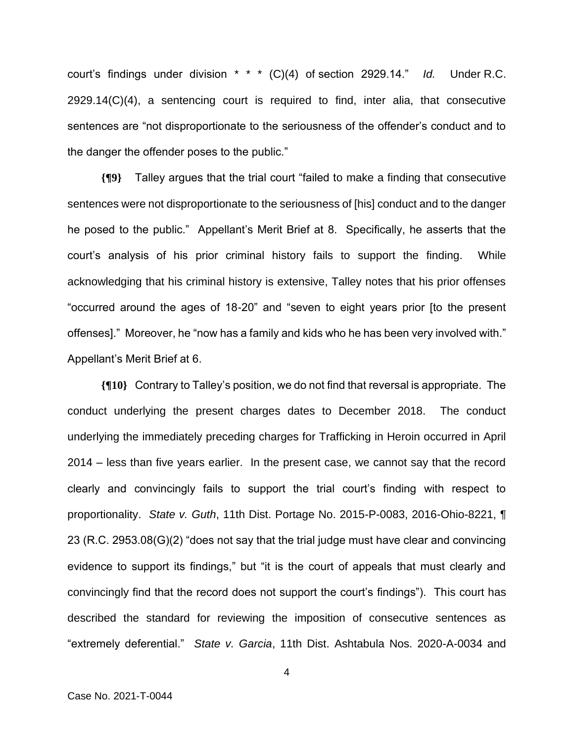court's findings under division \* \* \* (C)(4) of section 2929.14." *Id.* Under R.C. 2929.14(C)(4), a sentencing court is required to find, inter alia, that consecutive sentences are "not disproportionate to the seriousness of the offender's conduct and to the danger the offender poses to the public."

**{¶9}** Talley argues that the trial court "failed to make a finding that consecutive sentences were not disproportionate to the seriousness of [his] conduct and to the danger he posed to the public." Appellant's Merit Brief at 8. Specifically, he asserts that the court's analysis of his prior criminal history fails to support the finding. While acknowledging that his criminal history is extensive, Talley notes that his prior offenses "occurred around the ages of 18-20" and "seven to eight years prior [to the present offenses]." Moreover, he "now has a family and kids who he has been very involved with." Appellant's Merit Brief at 6.

**{¶10}** Contrary to Talley's position, we do not find that reversal is appropriate. The conduct underlying the present charges dates to December 2018. The conduct underlying the immediately preceding charges for Trafficking in Heroin occurred in April 2014 – less than five years earlier. In the present case, we cannot say that the record clearly and convincingly fails to support the trial court's finding with respect to proportionality. *State v. Guth*, 11th Dist. Portage No. 2015-P-0083, 2016-Ohio-8221, ¶ 23 (R.C. 2953.08(G)(2) "does not say that the trial judge must have clear and convincing evidence to support its findings," but "it is the court of appeals that must clearly and convincingly find that the record does not support the court's findings"). This court has described the standard for reviewing the imposition of consecutive sentences as "extremely deferential." *State v. Garcia*, 11th Dist. Ashtabula Nos. 2020-A-0034 and

4